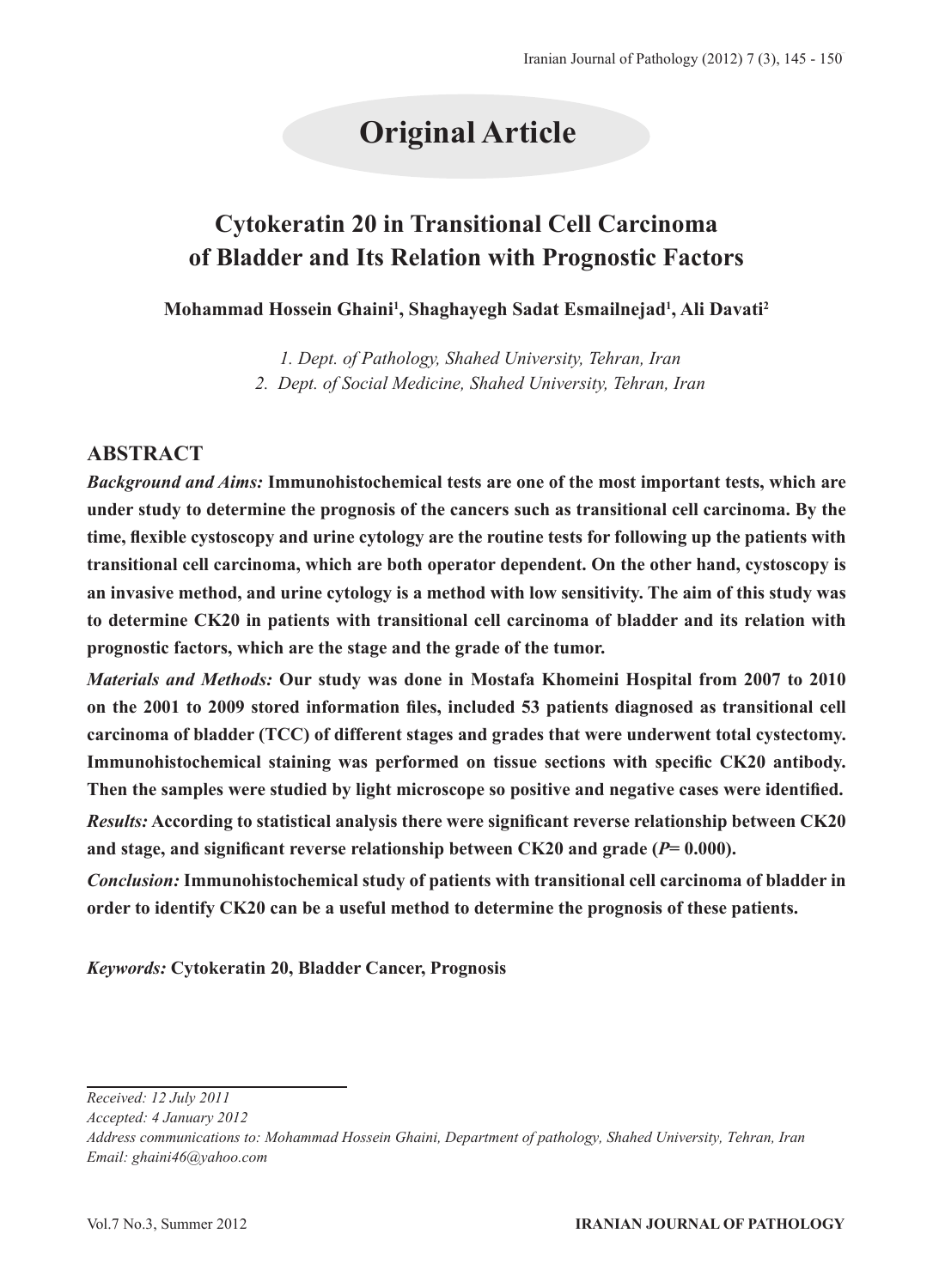## **Original Article**

### **Cytokeratin 20 in Transitional Cell Carcinoma of Bladder and Its Relation with Prognostic Factors**

**Mohammad Hossein Ghaini1 , Shaghayegh Sadat Esmailnejad1 , Ali Davati2**

*1. Dept. of Pathology, Shahed University, Tehran, Iran 2. Dept. of Social Medicine, Shahed University, Tehran, Iran*

### **ABSTRACT**

*Background and Aims:* **Immunohistochemical tests are one of the most important tests, which are under study to determine the prognosis of the cancers such as transitional cell carcinoma. By the time, flexible cystoscopy and urine cytology are the routine tests for following up the patients with transitional cell carcinoma, which are both operator dependent. On the other hand, cystoscopy is an invasive method, and urine cytology is a method with low sensitivity. The aim of this study was to determine CK20 in patients with transitional cell carcinoma of bladder and its relation with prognostic factors, which are the stage and the grade of the tumor.** 

*Materials and Methods:* **Our study was done in Mostafa Khomeini Hospital from 2007 to 2010 on the 2001 to 2009 stored information files, included 53 patients diagnosed as transitional cell carcinoma of bladder (TCC) of different stages and grades that were underwent total cystectomy. Immunohistochemical staining was performed on tissue sections with specific CK20 antibody. Then the samples were studied by light microscope so positive and negative cases were identified.** *Results:* **According to statistical analysis there were significant reverse relationship between CK20** 

**and stage, and significant reverse relationship between CK20 and grade (***P***= 0.000).**

*Conclusion:* **Immunohistochemical study of patients with transitional cell carcinoma of bladder in order to identify CK20 can be a useful method to determine the prognosis of these patients.**

*Keywords:* **Cytokeratin 20, Bladder Cancer, Prognosis**

*Accepted: 4 January 2012*

*Received: 12 July 2011*

*Address communications to: Mohammad Hossein Ghaini, Department of pathology, Shahed University, Tehran, Iran Email: ghaini46@yahoo.com*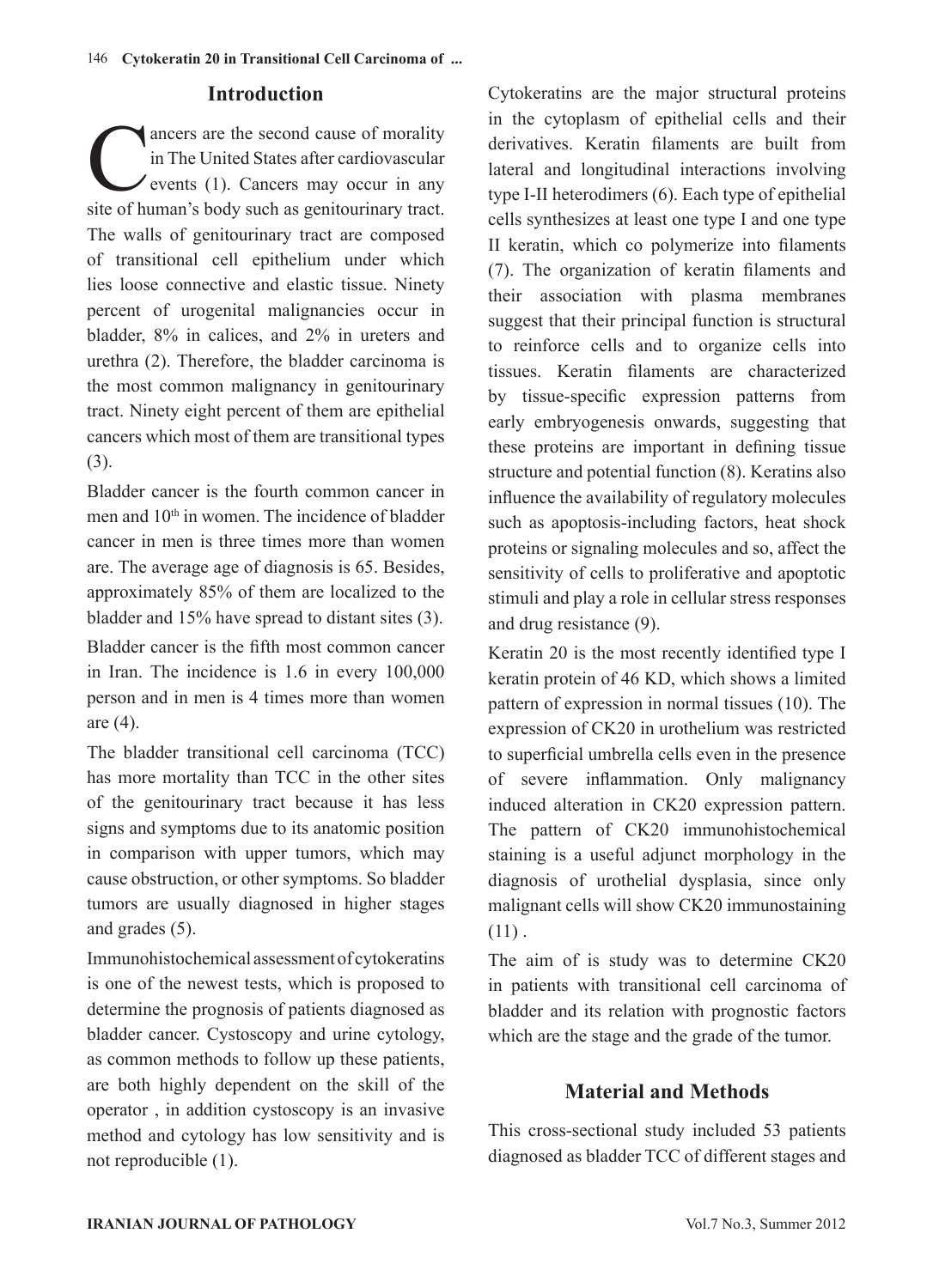### **Introduction**

ancers are the second cause of morality<br>in The United States after cardiovascular<br>events (1). Cancers may occur in any<br>site of human's body such as genitourinary tract in The United States after cardiovascular events (1). Cancers may occur in any site of human's body such as genitourinary tract. The walls of genitourinary tract are composed of transitional cell epithelium under which lies loose connective and elastic tissue. Ninety percent of urogenital malignancies occur in bladder, 8% in calices, and 2% in ureters and urethra (2). Therefore, the bladder carcinoma is the most common malignancy in genitourinary tract. Ninety eight percent of them are epithelial cancers which most of them are transitional types (3).

Bladder cancer is the fourth common cancer in men and  $10<sup>th</sup>$  in women. The incidence of bladder cancer in men is three times more than women are. The average age of diagnosis is 65. Besides, approximately 85% of them are localized to the bladder and 15% have spread to distant sites (3). Bladder cancer is the fifth most common cancer in Iran. The incidence is 1.6 in every 100,000 person and in men is 4 times more than women are (4).

The bladder transitional cell carcinoma (TCC) has more mortality than TCC in the other sites of the genitourinary tract because it has less signs and symptoms due to its anatomic position in comparison with upper tumors, which may cause obstruction, or other symptoms. So bladder tumors are usually diagnosed in higher stages and grades (5).

Immunohistochemical assessment of cytokeratins is one of the newest tests, which is proposed to determine the prognosis of patients diagnosed as bladder cancer. Cystoscopy and urine cytology, as common methods to follow up these patients, are both highly dependent on the skill of the operator , in addition cystoscopy is an invasive method and cytology has low sensitivity and is not reproducible (1).

Cytokeratins are the major structural proteins in the cytoplasm of epithelial cells and their derivatives. Keratin filaments are built from lateral and longitudinal interactions involving type I-II heterodimers (6). Each type of epithelial cells synthesizes at least one type I and one type II keratin, which co polymerize into filaments (7). The organization of keratin filaments and their association with plasma membranes suggest that their principal function is structural to reinforce cells and to organize cells into tissues. Keratin filaments are characterized by tissue-specific expression patterns from early embryogenesis onwards, suggesting that these proteins are important in defining tissue structure and potential function (8). Keratins also influence the availability of regulatory molecules such as apoptosis-including factors, heat shock proteins or signaling molecules and so, affect the sensitivity of cells to proliferative and apoptotic stimuli and play a role in cellular stress responses and drug resistance (9).

Keratin 20 is the most recently identified type I keratin protein of 46 KD, which shows a limited pattern of expression in normal tissues (10). The expression of CK20 in urothelium was restricted to superficial umbrella cells even in the presence of severe inflammation. Only malignancy induced alteration in CK20 expression pattern. The pattern of CK20 immunohistochemical staining is a useful adjunct morphology in the diagnosis of urothelial dysplasia, since only malignant cells will show CK20 immunostaining  $(11)$ .

The aim of is study was to determine CK20 in patients with transitional cell carcinoma of bladder and its relation with prognostic factors which are the stage and the grade of the tumor.

### **Material and Methods**

This cross-sectional study included 53 patients diagnosed as bladder TCC of different stages and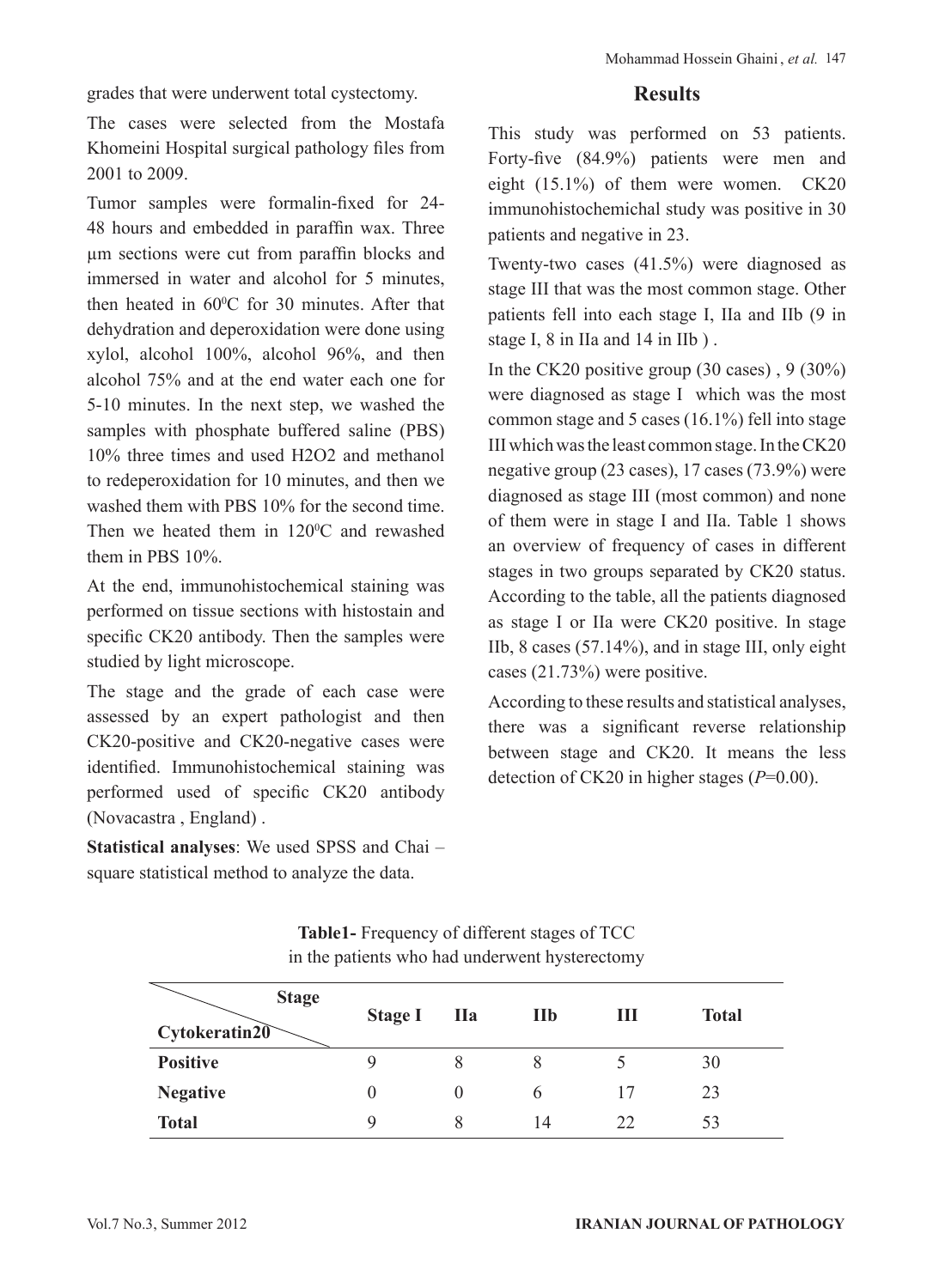grades that were underwent total cystectomy.

The cases were selected from the Mostafa Khomeini Hospital surgical pathology files from 2001 to 2009.

Tumor samples were formalin-fixed for 24- 48 hours and embedded in paraffin wax. Three µm sections were cut from paraffin blocks and immersed in water and alcohol for 5 minutes then heated in  $60^{\circ}$ C for 30 minutes. After that dehydration and deperoxidation were done using xylol, alcohol 100%, alcohol 96%, and then alcohol 75% and at the end water each one for 5-10 minutes. In the next step, we washed the samples with phosphate buffered saline (PBS) 10% three times and used H2O2 and methanol to redeperoxidation for 10 minutes, and then we washed them with PBS 10% for the second time. Then we heated them in  $120^{\circ}$ C and rewashed them in PBS 10%.

At the end, immunohistochemical staining was performed on tissue sections with histostain and specific CK20 antibody. Then the samples were studied by light microscope.

The stage and the grade of each case were assessed by an expert pathologist and then CK20-positive and CK20-negative cases were identified. Immunohistochemical staining was performed used of specific CK20 antibody (Novacastra , England) .

**Statistical analyses**: We used SPSS and Chai – square statistical method to analyze the data.

### **Results**

This study was performed on 53 patients. Forty-five (84.9%) patients were men and eight (15.1%) of them were women. CK20 immunohistochemichal study was positive in 30 patients and negative in 23.

Twenty-two cases (41.5%) were diagnosed as stage III that was the most common stage. Other patients fell into each stage I, IIa and IIb (9 in stage I, 8 in IIa and 14 in IIb ) .

In the CK20 positive group  $(30 \text{ cases})$ ,  $9 (30\%)$ were diagnosed as stage I which was the most common stage and 5 cases (16.1%) fell into stage III which was the least common stage. In the CK20 negative group (23 cases), 17 cases (73.9%) were diagnosed as stage III (most common) and none of them were in stage I and IIa. Table 1 shows an overview of frequency of cases in different stages in two groups separated by CK20 status. According to the table, all the patients diagnosed as stage I or IIa were CK20 positive. In stage IIb, 8 cases (57.14%), and in stage III, only eight cases (21.73%) were positive.

According to these results and statistical analyses, there was a significant reverse relationship between stage and CK20. It means the less detection of CK20 in higher stages (*P*=0.00).

| <b>Stage</b><br>Cytokeratin20 | <b>Stage I</b> | <b>IIa</b> | $I1I0$ | Ш  | <b>Total</b> |
|-------------------------------|----------------|------------|--------|----|--------------|
| <b>Positive</b>               |                | 8          |        |    | 30           |
| <b>Negative</b>               | $\theta$       | $\theta$   | 6      |    | 23           |
| <b>Total</b>                  | Q              | 8          | 14     | 22 | 53           |

**Table1-** Frequency of different stages of TCC in the patients who had underwent hysterectomy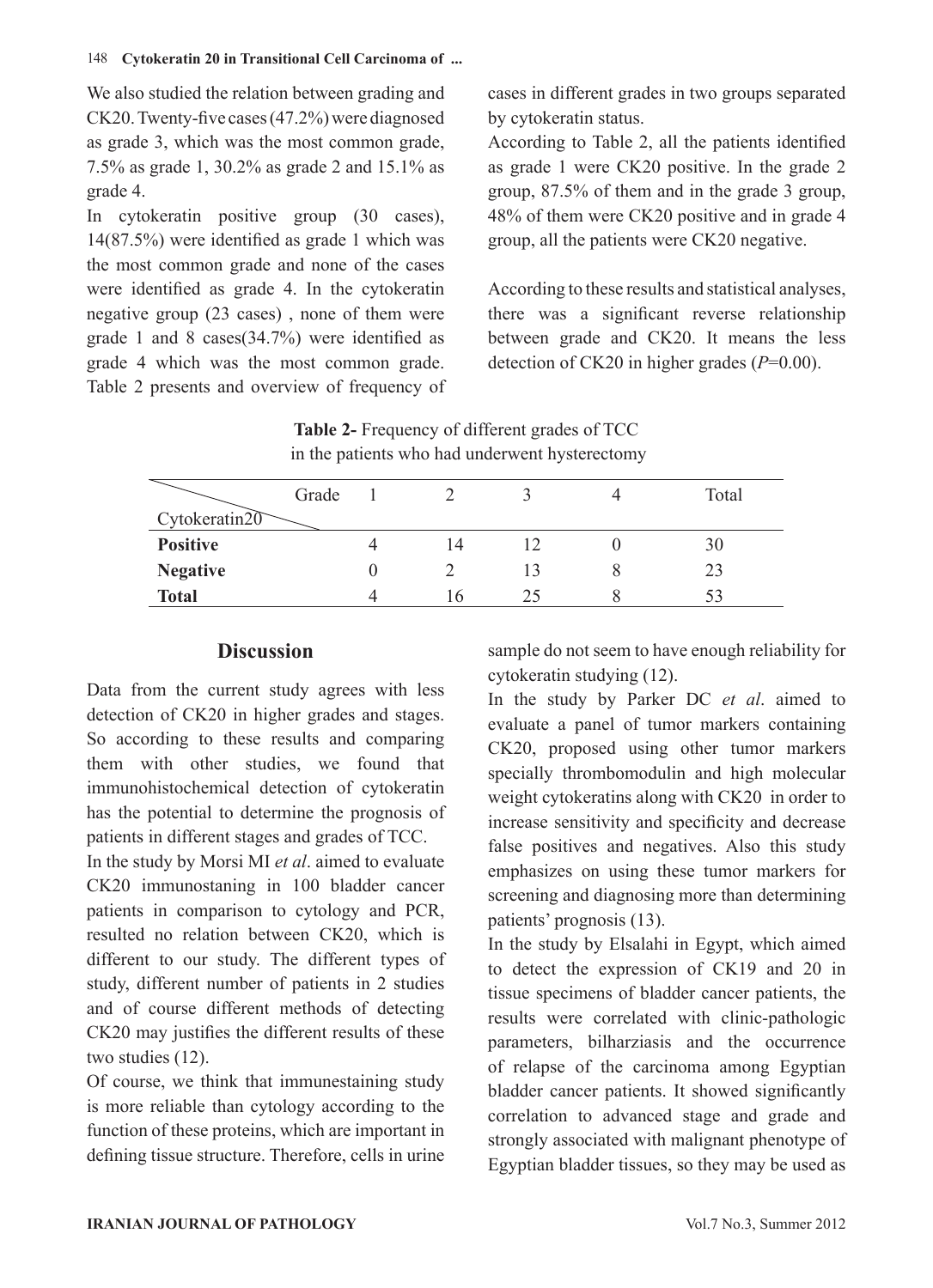### 148  **Cytokeratin 20 in Transitional Cell Carcinoma of ...**

We also studied the relation between grading and CK20. Twenty-five cases (47.2%) were diagnosed as grade 3, which was the most common grade, 7.5% as grade 1, 30.2% as grade 2 and 15.1% as grade 4.

In cytokeratin positive group (30 cases), 14(87.5%) were identified as grade 1 which was the most common grade and none of the cases were identified as grade 4. In the cytokeratin negative group (23 cases) , none of them were grade 1 and 8 cases(34.7%) were identified as grade 4 which was the most common grade. Table 2 presents and overview of frequency of cases in different grades in two groups separated by cytokeratin status.

According to Table 2, all the patients identified as grade 1 were CK20 positive. In the grade 2 group, 87.5% of them and in the grade 3 group, 48% of them were CK20 positive and in grade 4 group, all the patients were CK20 negative.

According to these results and statistical analyses, there was a significant reverse relationship between grade and CK20. It means the less detection of CK20 in higher grades (*P*=0.00).

 in the patients who had underwent hysterectomy Grade Cytokeratin<sub>20</sub> 1 2 3 4 Total **Positive** 4 14 12 0 30 **Negative** 0 2 13 8 23

**Total** 4 16 25 8 53

# **Table 2-** Frequency of different grades of TCC

### **Discussion**

Data from the current study agrees with less detection of CK20 in higher grades and stages. So according to these results and comparing them with other studies, we found that immunohistochemical detection of cytokeratin has the potential to determine the prognosis of patients in different stages and grades of TCC.

In the study by Morsi MI *et al*. aimed to evaluate CK20 immunostaning in 100 bladder cancer patients in comparison to cytology and PCR, resulted no relation between CK20, which is different to our study. The different types of study, different number of patients in 2 studies and of course different methods of detecting CK20 may justifies the different results of these two studies (12).

Of course, we think that immunestaining study is more reliable than cytology according to the function of these proteins, which are important in defining tissue structure. Therefore, cells in urine sample do not seem to have enough reliability for cytokeratin studying (12).

In the study by Parker DC *et al*. aimed to evaluate a panel of tumor markers containing CK20, proposed using other tumor markers specially thrombomodulin and high molecular weight cytokeratins along with CK20 in order to increase sensitivity and specificity and decrease false positives and negatives. Also this study emphasizes on using these tumor markers for screening and diagnosing more than determining patients' prognosis (13).

In the study by Elsalahi in Egypt, which aimed to detect the expression of CK19 and 20 in tissue specimens of bladder cancer patients, the results were correlated with clinic-pathologic parameters, bilharziasis and the occurrence of relapse of the carcinoma among Egyptian bladder cancer patients. It showed significantly correlation to advanced stage and grade and strongly associated with malignant phenotype of Egyptian bladder tissues, so they may be used as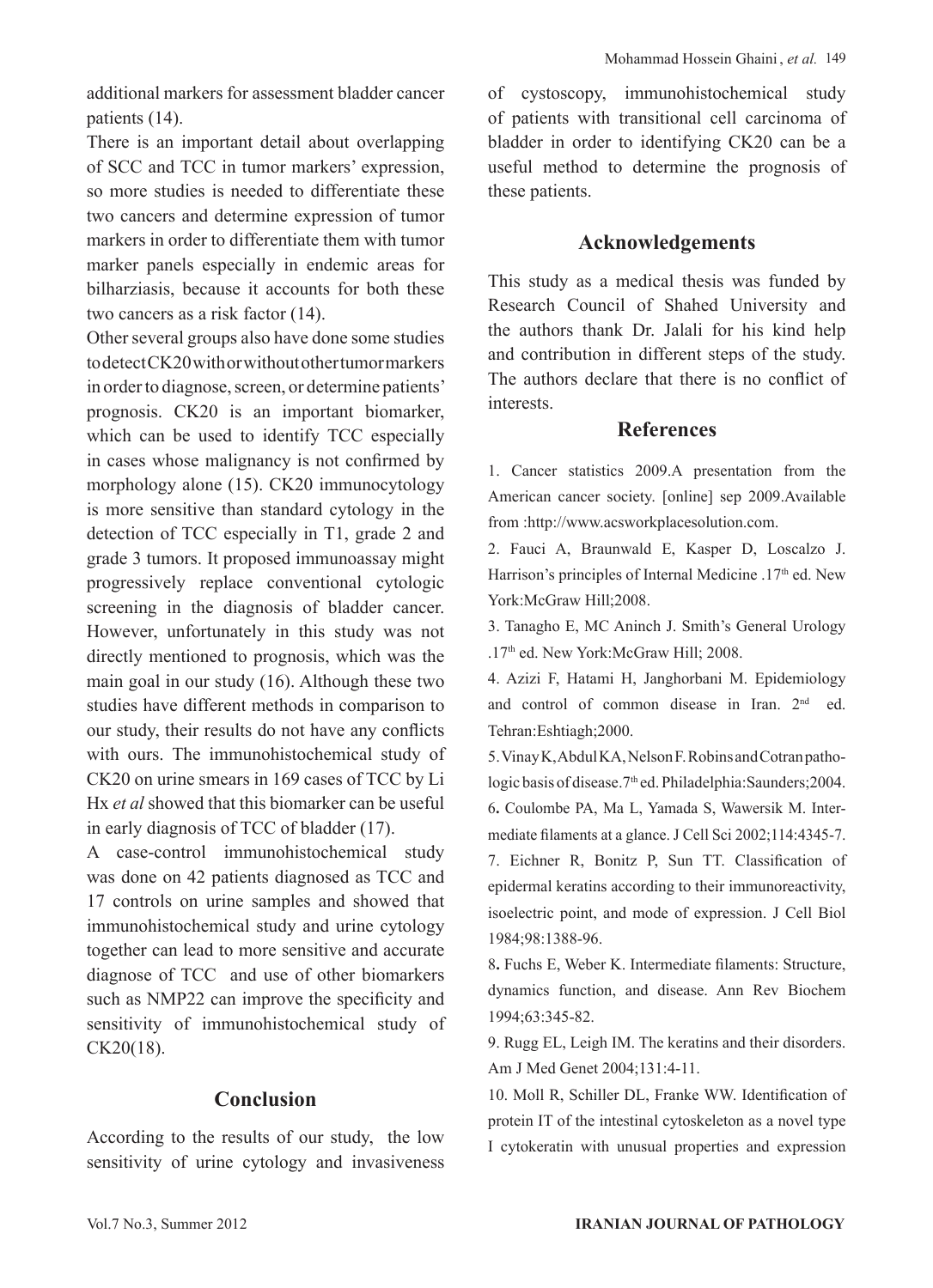additional markers for assessment bladder cancer patients (14).

There is an important detail about overlapping of SCC and TCC in tumor markers' expression, so more studies is needed to differentiate these two cancers and determine expression of tumor markers in order to differentiate them with tumor marker panels especially in endemic areas for bilharziasis, because it accounts for both these two cancers as a risk factor (14).

Other several groups also have done some studies to detect CK20 with or without other tumor markers in order to diagnose, screen, or determine patients' prognosis. CK20 is an important biomarker, which can be used to identify TCC especially in cases whose malignancy is not confirmed by morphology alone (15). CK20 immunocytology is more sensitive than standard cytology in the detection of TCC especially in T1, grade 2 and grade 3 tumors. It proposed immunoassay might progressively replace conventional cytologic screening in the diagnosis of bladder cancer. However, unfortunately in this study was not directly mentioned to prognosis, which was the main goal in our study (16). Although these two studies have different methods in comparison to our study, their results do not have any conflicts with ours. The immunohistochemical study of CK20 on urine smears in 169 cases of TCC by Li Hx *et al* showed that this biomarker can be useful in early diagnosis of TCC of bladder (17).

A case-control immunohistochemical study was done on 42 patients diagnosed as TCC and 17 controls on urine samples and showed that immunohistochemical study and urine cytology together can lead to more sensitive and accurate diagnose of TCC and use of other biomarkers such as NMP22 can improve the specificity and sensitivity of immunohistochemical study of CK20(18).

### **Conclusion**

According to the results of our study, the low sensitivity of urine cytology and invasiveness of cystoscopy, immunohistochemical study of patients with transitional cell carcinoma of bladder in order to identifying CK20 can be a useful method to determine the prognosis of these patients.

### **Acknowledgements**

This study as a medical thesis was funded by Research Council of Shahed University and the authors thank Dr. Jalali for his kind help and contribution in different steps of the study. The authors declare that there is no conflict of interests.

### **References**

1. Cancer statistics 2009.A presentation from the American cancer society. [online] sep 2009.Available from :http://www.acsworkplacesolution.com.

2. Fauci A, Braunwald E, Kasper D, Loscalzo J. Harrison's principles of Internal Medicine .17<sup>th</sup> ed. New York:McGraw Hill;2008.

3. Tanagho E, MC Aninch J. Smith's General Urology .17th ed. New York:McGraw Hill; 2008.

4. Azizi F, Hatami H, Janghorbani M. Epidemiology and control of common disease in Iran. 2<sup>nd</sup> ed. Tehran:Eshtiagh;2000.

5. Vinay K, Abdul KA, Nelson F. Robins and Cotran pathologic basis of disease.7th ed. Philadelphia:Saunders;2004. 6**.** Coulombe PA, Ma L, Yamada S, Wawersik M. Intermediate filaments at a glance. J Cell Sci 2002;114:4345-7.

7. Eichner R, Bonitz P, Sun TT. Classification of epidermal keratins according to their immunoreactivity, isoelectric point, and mode of expression. J Cell Biol 1984;98:1388-96.

8**.** Fuchs E, Weber K. Intermediate filaments: Structure, dynamics function, and disease. Ann Rev Biochem 1994;63:345-82.

9. Rugg EL, Leigh IM. The keratins and their disorders. Am J Med Genet 2004;131:4-11.

10. Moll R, Schiller DL, Franke WW. Identification of protein IT of the intestinal cytoskeleton as a novel type I cytokeratin with unusual properties and expression